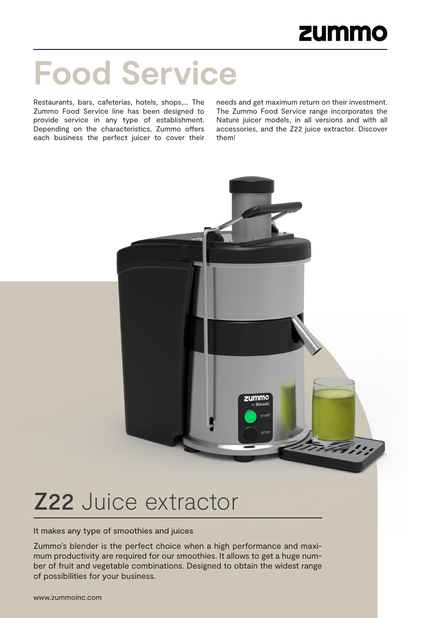# **Food Service**

Restaurants, bars, cafeterias, hotels, shops,… The Zummo Food Service line has been designed to provide service in any type of establishment. Depending on the characteristics, Zummo offers each business the perfect juicer to cover their needs and get maximum return on their investment. The Zummo Food Service range incorporates the Nature juicer models, in all versions and with all accessories, and the Z22 juice extractor. Discover them!



## **Z22 Juice extractor**

It makes any type of smoothies and juices

Zummo's blender is the perfect choice when a high performance and maximum productivity are required for our smoothies. It allows to get a huge number of fruit and vegetable combinations. Designed to obtain the widest range of possibilities for your business.